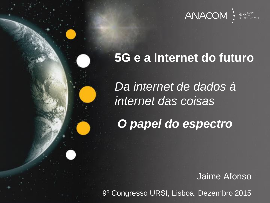

## **5G e a Internet do futuro**

*Da internet de dados à internet das coisas*

*O papel do espectro*

Jaime Afonso

9º Congresso URSI, Lisboa, Dezembro 2015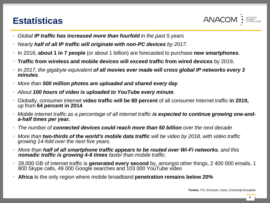## **Estatísticas**



- *Global IP traffic has increased more than fourfold in the past 5 years*
- Nearly half of all IP traffic will originate with non-PC devices by 2017.
- In 2016, **about 1 in 7 people** (or about 1 billion) are forecasted to purchase **new smartphones**.
- **Traffic from wireless and mobile devices will exceed traffic from wired devices** by 2019**.**
- *In 2017, the gigabyte equivalent of all movies ever made will cross global IP networks every 3 minutes.*
- *More than 500 million photos are uploaded and shared every day.*
- *About 100 hours of video is uploaded to YouTube every minute.*
- Globally, consumer internet **video traffic will be 80 percent** of all consumer Internet traffic **in 2019,**  up from **64 percent in 2014**
- Mobile internet traffic as a percentage of all internet traffic is expected to continue growing one-and*a-half times per year.*
- *The number of connected devices could reach more than 50 billion over the next decade*
- *More than two-thirds of the world's mobile data traffic will be video by 2018, with video traffic growing 14-fold over the next five years.*
- *More than half of all smartphone traffic appears to be routed over Wi-Fi networks, and this nomadic traffic is growing 4-6 times faster than mobile traffic.*
- 28,000 GB of internet traffic is **generated every second** by, amongst other things, 2 400 000 emails, 1 800 Skype calls, 49 000 Google searches and 103 000 YouTube video
- **Africa i**s the only region where mobile broadband **penetration remains below 20%**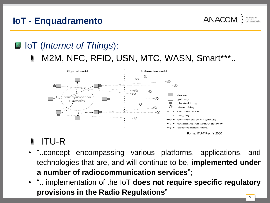## **IoT - Enquadramento**

**ANAC** 

## IoT (*Internet of Things*):

M2M, NFC, RFID, USN, MTC, WASN, Smart\*\*\*..



## ITU-R

- "..concept encompassing various platforms, applications, and technologies that are, and will continue to be, **implemented under a number of radiocommunication services**";
- ".. implementation of the IoT **does not require specific regulatory provisions in the Radio Regulations**"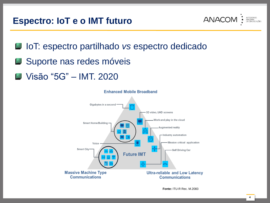#### **Espectro: IoT e o IMT futuro**



IoT: espectro partilhado *vs* espectro dedicado

- **Suporte nas redes móveis**
- **J** Visão "5G" IMT. 2020

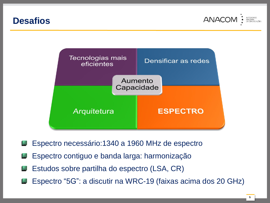#### **Desafios**





- Espectro necessário:1340 a 1960 MHz de espectro 盛
- Espectro contiguo e banda larga: harmonização 盛
- Estudos sobre partilha do espectro (LSA, CR) ١d
- Espectro "5G": a discutir na WRC-19 (faixas acima dos 20 GHz)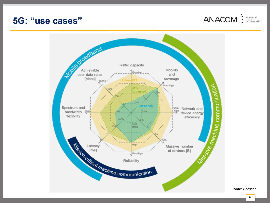#### **5G: "use cases"**





**Fonte:** *Ericsson*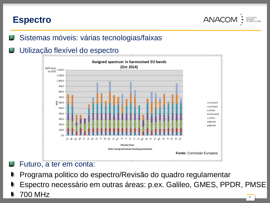#### **Espectro**

**ANACC** 

- Sistemas móveis: várias tecnologias/faixas
- Utilização flexível do espectro



- Futuro, a ter em conta:
- Programa politico do espectro/Revisão do quadro regulamentar
- Espectro necessário em outras áreas: p.ex. Galileo, GMES, PPDR, PMSE
- 700 MHz